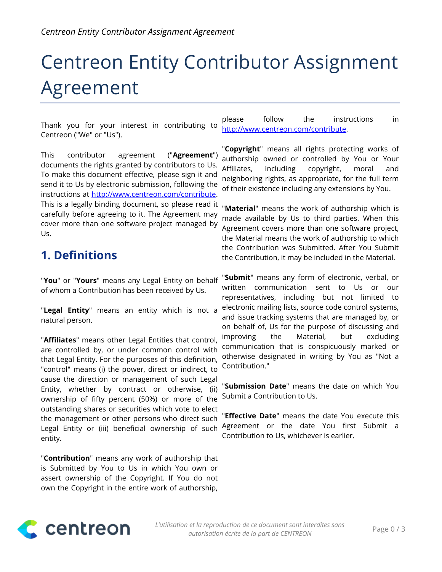# Centreon Entity Contributor Assignment Agreement

| Thank you for your interest in contributing to<br>Centreon ("We" or "Us").                                                                                                                                                                                                                                                                                                                                                                                  | please<br>follow<br>the<br>instructions<br>in<br>http://www.centreon.com/contribute.                                                                                                                                                                                                                                                                                                                                                                                                                                                                                   |
|-------------------------------------------------------------------------------------------------------------------------------------------------------------------------------------------------------------------------------------------------------------------------------------------------------------------------------------------------------------------------------------------------------------------------------------------------------------|------------------------------------------------------------------------------------------------------------------------------------------------------------------------------------------------------------------------------------------------------------------------------------------------------------------------------------------------------------------------------------------------------------------------------------------------------------------------------------------------------------------------------------------------------------------------|
| contributor<br>agreement<br>("Agreement")<br>This<br>documents the rights granted by contributors to Us.<br>To make this document effective, please sign it and<br>send it to Us by electronic submission, following the<br>instructions at http://www.centreon.com/contribute.                                                                                                                                                                             | "Copyright" means all rights protecting works of<br>authorship owned or controlled by You or Your<br>Affiliates,<br>including<br>copyright,<br>moral<br>and<br>neighboring rights, as appropriate, for the full term<br>of their existence including any extensions by You.                                                                                                                                                                                                                                                                                            |
| This is a legally binding document, so please read it<br>carefully before agreeing to it. The Agreement may<br>cover more than one software project managed by<br>Us.                                                                                                                                                                                                                                                                                       | "Material" means the work of authorship which is<br>made available by Us to third parties. When this<br>Agreement covers more than one software project,<br>the Material means the work of authorship to which<br>the Contribution was Submitted. After You Submit                                                                                                                                                                                                                                                                                                     |
| <b>1. Definitions</b>                                                                                                                                                                                                                                                                                                                                                                                                                                       | the Contribution, it may be included in the Material.                                                                                                                                                                                                                                                                                                                                                                                                                                                                                                                  |
| "You" or "Yours" means any Legal Entity on behalf<br>of whom a Contribution has been received by Us.<br>"Legal Entity" means an entity which is not a<br>natural person.<br>"Affiliates" means other Legal Entities that control,<br>are controlled by, or under common control with<br>that Legal Entity. For the purposes of this definition,<br>"control" means (i) the power, direct or indirect, to<br>cause the direction or management of such Legal | "Submit" means any form of electronic, verbal, or<br>communication sent<br>written<br>Us<br>to<br><b>or</b><br>our<br>representatives, including but not limited to<br>electronic mailing lists, source code control systems,<br>and issue tracking systems that are managed by, or<br>on behalf of, Us for the purpose of discussing and<br>Material,<br>the<br>but<br>improving<br>excluding<br>communication that is conspicuously marked or<br>otherwise designated in writing by You as "Not a<br>Contribution."<br>"Submission Date" means the date on which You |
| Entity, whether by contract or otherwise, (ii)<br>ownership of fifty percent (50%) or more of the                                                                                                                                                                                                                                                                                                                                                           | Submit a Contribution to Us.                                                                                                                                                                                                                                                                                                                                                                                                                                                                                                                                           |
| outstanding shares or securities which vote to elect<br>the management or other persons who direct such<br>Legal Entity or (iii) beneficial ownership of such<br>entity.                                                                                                                                                                                                                                                                                    | "Effective Date" means the date You execute this<br>Agreement or the date You first Submit a<br>Contribution to Us, whichever is earlier.                                                                                                                                                                                                                                                                                                                                                                                                                              |
| "Contribution" means any work of authorship that<br>is Submitted by You to Us in which You own or<br>assert ownership of the Copyright. If You do not<br>own the Copyright in the entire work of authorship,                                                                                                                                                                                                                                                |                                                                                                                                                                                                                                                                                                                                                                                                                                                                                                                                                                        |

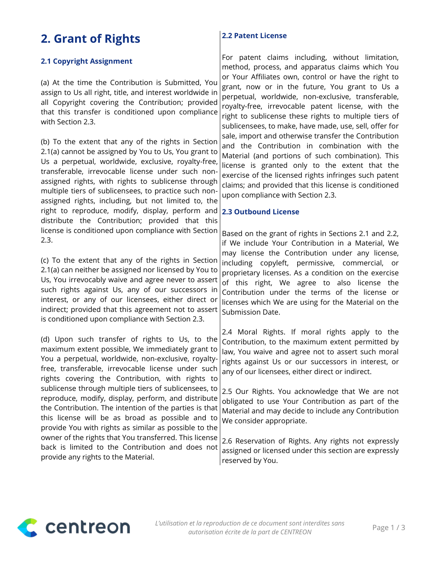## **2. Grant of Rights**

#### **2.1 Copyright Assignment**

(a) At the time the Contribution is Submitted, You assign to Us all right, title, and interest worldwide in all Copyright covering the Contribution; provided that this transfer is conditioned upon compliance with Section 2.3.

(b) To the extent that any of the rights in Section 2.1(a) cannot be assigned by You to Us, You grant to Us a perpetual, worldwide, exclusive, royalty-free, transferable, irrevocable license under such nonassigned rights, with rights to sublicense through multiple tiers of sublicensees, to practice such nonassigned rights, including, but not limited to, the right to reproduce, modify, display, perform and distribute the Contribution; provided that this license is conditioned upon compliance with Section 2.3.

(c) To the extent that any of the rights in Section 2.1(a) can neither be assigned nor licensed by You to Us, You irrevocably waive and agree never to assert such rights against Us, any of our successors in interest, or any of our licensees, either direct or indirect; provided that this agreement not to assert is conditioned upon compliance with Section 2.3.

(d) Upon such transfer of rights to Us, to the maximum extent possible, We immediately grant to You a perpetual, worldwide, non-exclusive, royaltyfree, transferable, irrevocable license under such rights covering the Contribution, with rights to sublicense through multiple tiers of sublicensees, to reproduce, modify, display, perform, and distribute the Contribution. The intention of the parties is that this license will be as broad as possible and to provide You with rights as similar as possible to the owner of the rights that You transferred. This license back is limited to the Contribution and does not provide any rights to the Material.

#### **2.2 Patent License**

For patent claims including, without limitation, method, process, and apparatus claims which You or Your Affiliates own, control or have the right to grant, now or in the future, You grant to Us a perpetual, worldwide, non-exclusive, transferable, royalty-free, irrevocable patent license, with the right to sublicense these rights to multiple tiers of sublicensees, to make, have made, use, sell, offer for sale, import and otherwise transfer the Contribution and the Contribution in combination with the Material (and portions of such combination). This license is granted only to the extent that the exercise of the licensed rights infringes such patent claims; and provided that this license is conditioned upon compliance with Section 2.3.

#### **2.3 Outbound License**

Based on the grant of rights in Sections 2.1 and 2.2, if We include Your Contribution in a Material, We may license the Contribution under any license, including copyleft, permissive, commercial, or proprietary licenses. As a condition on the exercise of this right, We agree to also license the Contribution under the terms of the license or licenses which We are using for the Material on the Submission Date.

2.4 Moral Rights. If moral rights apply to the Contribution, to the maximum extent permitted by law, You waive and agree not to assert such moral rights against Us or our successors in interest, or any of our licensees, either direct or indirect.

2.5 Our Rights. You acknowledge that We are not obligated to use Your Contribution as part of the Material and may decide to include any Contribution We consider appropriate.

2.6 Reservation of Rights. Any rights not expressly assigned or licensed under this section are expressly reserved by You.